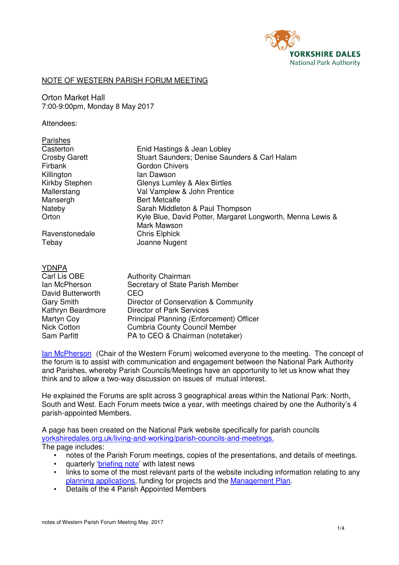

## NOTE OF WESTERN PARISH FORUM MEETING

Orton Market Hall 7:00-9:00pm, Monday 8 May 2017

#### Attendees:

| <b>Parishes</b>                                                                                       | Enid Hastings & Jean Lobley                                                                                                               |
|-------------------------------------------------------------------------------------------------------|-------------------------------------------------------------------------------------------------------------------------------------------|
| Casterton                                                                                             | Stuart Saunders; Denise Saunders & Carl Halam                                                                                             |
| <b>Crosby Garett</b>                                                                                  | Gordon Chivers                                                                                                                            |
| Firbank                                                                                               | lan Dawson                                                                                                                                |
| Killington                                                                                            | Glenys Lumley & Alex Birtles                                                                                                              |
| Kirkby Stephen                                                                                        | Val Vamplew & John Prentice                                                                                                               |
| Mallerstang                                                                                           | <b>Bert Metcalfe</b>                                                                                                                      |
| Mansergh                                                                                              | Sarah Middleton & Paul Thompson                                                                                                           |
| Nateby                                                                                                | Kyle Blue, David Potter, Margaret Longworth, Menna Lewis &                                                                                |
| Orton                                                                                                 | Mark Mawson                                                                                                                               |
| Ravenstonedale                                                                                        | <b>Chris Elphick</b>                                                                                                                      |
| Tebay                                                                                                 | Joanne Nugent                                                                                                                             |
| YDNPA<br>Carl Lis OBE<br>lan McPherson<br>David Butterworth<br><b>Gary Smith</b><br>Kathrvn Reardmore | <b>Authority Chairman</b><br>Secretary of State Parish Member<br>CEO<br>Director of Conservation & Community<br>Director of Park Services |

Kathryn Beardmore Director of Park Services Martyn Coy **Principal Planning (Enforcement) Officer** Nick Cotton Cumbria County Council Member Sam Parfitt PA to CEO & Chairman (notetaker)

Ian McPherson (Chair of the Western Forum) welcomed everyone to the meeting. The concept of the forum is to assist with communication and engagement between the National Park Authority and Parishes, whereby Parish Councils/Meetings have an opportunity to let us know what they think and to allow a two-way discussion on issues of mutual interest.

He explained the Forums are split across 3 geographical areas within the National Park: North, South and West. Each Forum meets twice a year, with meetings chaired by one the Authority's 4 parish-appointed Members.

A page has been created on the National Park website specifically for parish councils yorkshiredales.org.uk/living-and-working/parish-councils-and-meetings. The page includes:

- notes of the Parish Forum meetings, copies of the presentations, and details of meetings.
- quarterly 'briefing note' with latest news
- links to some of the most relevant parts of the website including information relating to any planning applications, funding for projects and the Management Plan.
- Details of the 4 Parish Appointed Members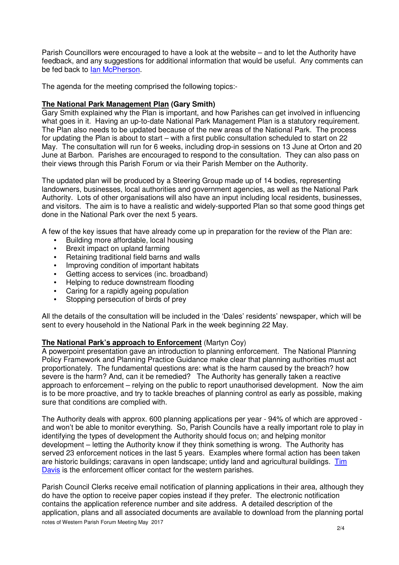Parish Councillors were encouraged to have a look at the website – and to let the Authority have feedback, and any suggestions for additional information that would be useful. Any comments can be fed back to Ian McPherson.

The agenda for the meeting comprised the following topics:-

### **The National Park Management Plan (Gary Smith)**

Gary Smith explained why the Plan is important, and how Parishes can get involved in influencing what goes in it. Having an up-to-date National Park Management Plan is a statutory requirement. The Plan also needs to be updated because of the new areas of the National Park. The process for updating the Plan is about to start – with a first public consultation scheduled to start on 22 May. The consultation will run for 6 weeks, including drop-in sessions on 13 June at Orton and 20 June at Barbon. Parishes are encouraged to respond to the consultation. They can also pass on their views through this Parish Forum or via their Parish Member on the Authority.

The updated plan will be produced by a Steering Group made up of 14 bodies, representing landowners, businesses, local authorities and government agencies, as well as the National Park Authority. Lots of other organisations will also have an input including local residents, businesses, and visitors. The aim is to have a realistic and widely-supported Plan so that some good things get done in the National Park over the next 5 years.

A few of the key issues that have already come up in preparation for the review of the Plan are:

- Building more affordable, local housing<br>• Brexit impact on upland farming
- Brexit impact on upland farming
- Retaining traditional field barns and walls
- Improving condition of important habitats
- Getting access to services (inc. broadband)
- Helping to reduce downstream flooding
- Caring for a rapidly ageing population
- Stopping persecution of birds of prey

All the details of the consultation will be included in the 'Dales' residents' newspaper, which will be sent to every household in the National Park in the week beginning 22 May.

### **The National Park's approach to Enforcement** (Martyn Coy)

A powerpoint presentation gave an introduction to planning enforcement. The National Planning Policy Framework and Planning Practice Guidance make clear that planning authorities must act proportionately. The fundamental questions are: what is the harm caused by the breach? how severe is the harm? And, can it be remedied? The Authority has generally taken a reactive approach to enforcement – relying on the public to report unauthorised development. Now the aim is to be more proactive, and try to tackle breaches of planning control as early as possible, making sure that conditions are complied with.

The Authority deals with approx. 600 planning applications per year - 94% of which are approved and won't be able to monitor everything. So, Parish Councils have a really important role to play in identifying the types of development the Authority should focus on; and helping monitor development – letting the Authority know if they think something is wrong. The Authority has served 23 enforcement notices in the last 5 years. Examples where formal action has been taken are historic buildings; caravans in open landscape; untidy land and agricultural buildings. Tim Davis is the enforcement officer contact for the western parishes.

notes of Western Parish Forum Meeting May 2017 Parish Council Clerks receive email notification of planning applications in their area, although they do have the option to receive paper copies instead if they prefer. The electronic notification contains the application reference number and site address. A detailed description of the application, plans and all associated documents are available to download from the planning portal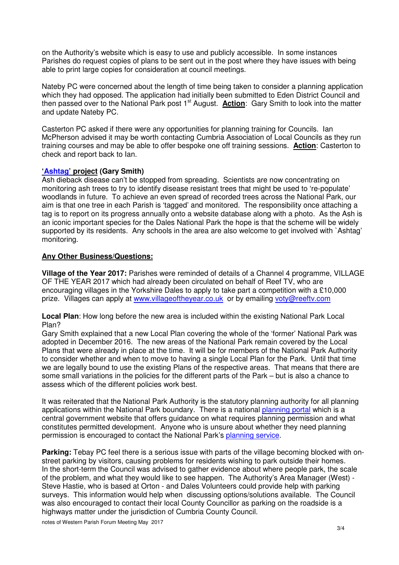on the Authority's website which is easy to use and publicly accessible. In some instances Parishes do request copies of plans to be sent out in the post where they have issues with being able to print large copies for consideration at council meetings.

Nateby PC were concerned about the length of time being taken to consider a planning application which they had opposed. The application had initially been submitted to Eden District Council and then passed over to the National Park post 1<sup>st</sup> August. **Action**: Gary Smith to look into the matter and update Nateby PC.

Casterton PC asked if there were any opportunities for planning training for Councils. Ian McPherson advised it may be worth contacting Cumbria Association of Local Councils as they run training courses and may be able to offer bespoke one off training sessions. **Action**: Casterton to check and report back to Ian.

### **'Ashtag' project (Gary Smith)**

Ash dieback disease can't be stopped from spreading. Scientists are now concentrating on monitoring ash trees to try to identify disease resistant trees that might be used to 're-populate' woodlands in future. To achieve an even spread of recorded trees across the National Park, our aim is that one tree in each Parish is 'tagged' and monitored. The responsibility once attaching a tag is to report on its progress annually onto a website database along with a photo. As the Ash is an iconic important species for the Dales National Park the hope is that the scheme will be widely supported by its residents. Any schools in the area are also welcome to get involved with `Ashtag' monitoring.

# **Any Other Business/Questions:**

**Village of the Year 2017:** Parishes were reminded of details of a Channel 4 programme, VILLAGE OF THE YEAR 2017 which had already been circulated on behalf of Reef TV, who are encouraging villages in the Yorkshire Dales to apply to take part a competition with a £10,000 prize. Villages can apply at www.villageoftheyear.co.uk or by emailing voty@reefty.com

**Local Plan**: How long before the new area is included within the existing National Park Local Plan?

Gary Smith explained that a new Local Plan covering the whole of the 'former' National Park was adopted in December 2016. The new areas of the National Park remain covered by the Local Plans that were already in place at the time. It will be for members of the National Park Authority to consider whether and when to move to having a single Local Plan for the Park. Until that time we are legally bound to use the existing Plans of the respective areas. That means that there are some small variations in the policies for the different parts of the Park – but is also a chance to assess which of the different policies work best.

It was reiterated that the National Park Authority is the statutory planning authority for all planning applications within the National Park boundary. There is a national planning portal which is a central government website that offers guidance on what requires planning permission and what constitutes permitted development. Anyone who is unsure about whether they need planning permission is encouraged to contact the National Park's planning service.

**Parking:** Tebay PC feel there is a serious issue with parts of the village becoming blocked with onstreet parking by visitors, causing problems for residents wishing to park outside their homes. In the short-term the Council was advised to gather evidence about where people park, the scale of the problem, and what they would like to see happen. The Authority's Area Manager (West) - Steve Hastie, who is based at Orton - and Dales Volunteers could provide help with parking surveys. This information would help when discussing options/solutions available. The Council was also encouraged to contact their local County Councillor as parking on the roadside is a highways matter under the jurisdiction of Cumbria County Council.

notes of Western Parish Forum Meeting May 2017